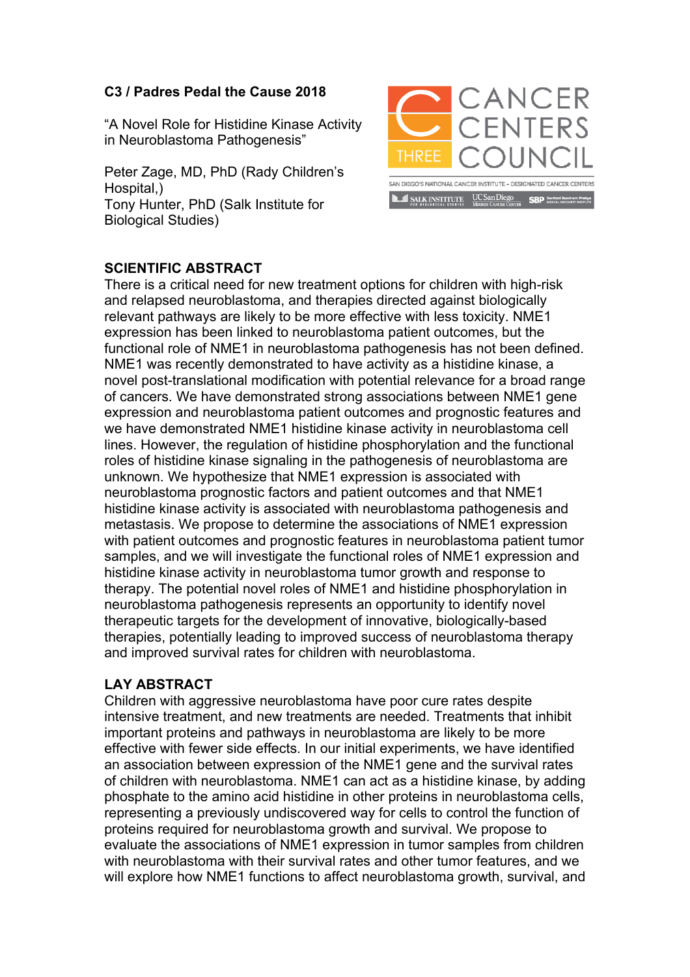## **C3 / Padres Pedal the Cause 2018**

"A Novel Role for Histidine Kinase Activity in Neuroblastoma Pathogenesis"

Peter Zage, MD, PhD (Rady Children's Hospital.) Tony Hunter, PhD (Salk Institute for Biological Studies)



## **SCIENTIFIC ABSTRACT**

There is a critical need for new treatment options for children with high-risk and relapsed neuroblastoma, and therapies directed against biologically relevant pathways are likely to be more effective with less toxicity. NME1 expression has been linked to neuroblastoma patient outcomes, but the functional role of NME1 in neuroblastoma pathogenesis has not been defined. NME1 was recently demonstrated to have activity as a histidine kinase, a novel post-translational modification with potential relevance for a broad range of cancers. We have demonstrated strong associations between NME1 gene expression and neuroblastoma patient outcomes and prognostic features and we have demonstrated NME1 histidine kinase activity in neuroblastoma cell lines. However, the regulation of histidine phosphorylation and the functional roles of histidine kinase signaling in the pathogenesis of neuroblastoma are unknown. We hypothesize that NME1 expression is associated with neuroblastoma prognostic factors and patient outcomes and that NME1 histidine kinase activity is associated with neuroblastoma pathogenesis and metastasis. We propose to determine the associations of NME1 expression with patient outcomes and prognostic features in neuroblastoma patient tumor samples, and we will investigate the functional roles of NME1 expression and histidine kinase activity in neuroblastoma tumor growth and response to therapy. The potential novel roles of NME1 and histidine phosphorylation in neuroblastoma pathogenesis represents an opportunity to identify novel therapeutic targets for the development of innovative, biologically-based therapies, potentially leading to improved success of neuroblastoma therapy and improved survival rates for children with neuroblastoma.

## **LAY ABSTRACT**

Children with aggressive neuroblastoma have poor cure rates despite intensive treatment, and new treatments are needed. Treatments that inhibit important proteins and pathways in neuroblastoma are likely to be more effective with fewer side effects. In our initial experiments, we have identified an association between expression of the NME1 gene and the survival rates of children with neuroblastoma. NME1 can act as a histidine kinase, by adding phosphate to the amino acid histidine in other proteins in neuroblastoma cells, representing a previously undiscovered way for cells to control the function of proteins required for neuroblastoma growth and survival. We propose to evaluate the associations of NME1 expression in tumor samples from children with neuroblastoma with their survival rates and other tumor features, and we will explore how NME1 functions to affect neuroblastoma growth, survival, and